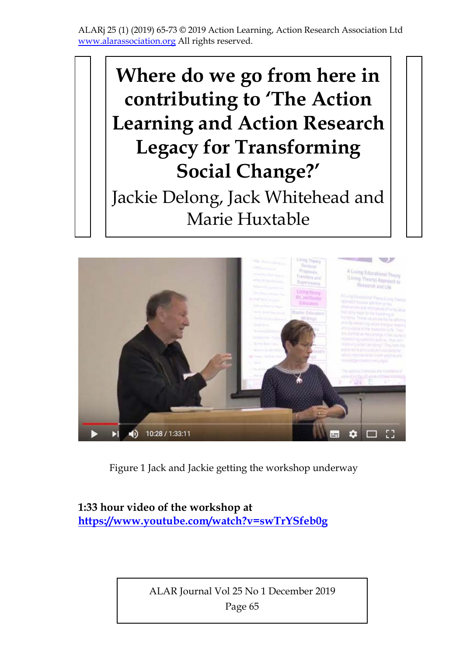# **Where do we go from here in contributing to 'The Action Learning and Action Research Legacy for Transforming Social Change?'**  Jackie Delong, Jack Whitehead and Marie Huxtable



Figure 1 Jack and Jackie getting the workshop underway

#### **1:33 hour video of the workshop at https://www.youtube.com/watch?v=swTrYSfeb0g**

ALAR Journal Vol 25 No 1 December 2019 Page 65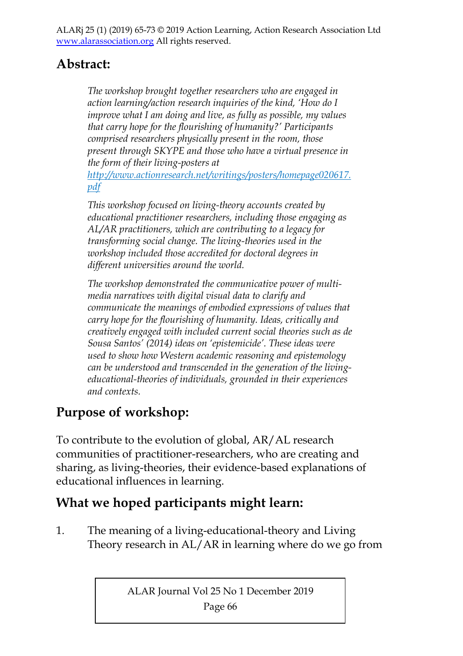#### **Abstract:**

*The workshop brought together researchers who are engaged in action learning/action research inquiries of the kind, 'How do I improve what I am doing and live, as fully as possible, my values that carry hope for the flourishing of humanity?' Participants comprised researchers physically present in the room, those present through SKYPE and those who have a virtual presence in the form of their living-posters at* 

*http://www.actionresearch.net/writings/posters/homepage020617. pdf* 

*This workshop focused on living-theory accounts created by educational practitioner researchers, including those engaging as AL/AR practitioners, which are contributing to a legacy for transforming social change. The living-theories used in the workshop included those accredited for doctoral degrees in different universities around the world.* 

*The workshop demonstrated the communicative power of multimedia narratives with digital visual data to clarify and communicate the meanings of embodied expressions of values that carry hope for the flourishing of humanity. Ideas, critically and creatively engaged with included current social theories such as de Sousa Santos' (2014) ideas on 'epistemicide'. These ideas were used to show how Western academic reasoning and epistemology can be understood and transcended in the generation of the livingeducational-theories of individuals, grounded in their experiences and contexts.* 

#### **Purpose of workshop:**

To contribute to the evolution of global, AR/AL research communities of practitioner-researchers, who are creating and sharing, as living-theories, their evidence-based explanations of educational influences in learning.

#### **What we hoped participants might learn:**

1. The meaning of a living-educational-theory and Living Theory research in AL/AR in learning where do we go from

ALAR Journal Vol 25 No 1 December 2019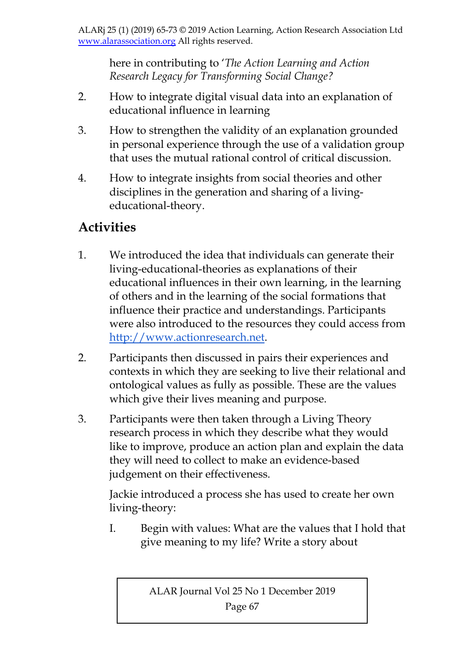here in contributing to '*The Action Learning and Action Research Legacy for Transforming Social Change?*

- 2. How to integrate digital visual data into an explanation of educational influence in learning
- 3. How to strengthen the validity of an explanation grounded in personal experience through the use of a validation group that uses the mutual rational control of critical discussion.
- 4. How to integrate insights from social theories and other disciplines in the generation and sharing of a livingeducational-theory.

### **Activities**

- 1. We introduced the idea that individuals can generate their living-educational-theories as explanations of their educational influences in their own learning, in the learning of others and in the learning of the social formations that influence their practice and understandings. Participants were also introduced to the resources they could access from http://www.actionresearch.net.
- 2. Participants then discussed in pairs their experiences and contexts in which they are seeking to live their relational and ontological values as fully as possible. These are the values which give their lives meaning and purpose.
- 3. Participants were then taken through a Living Theory research process in which they describe what they would like to improve, produce an action plan and explain the data they will need to collect to make an evidence-based judgement on their effectiveness.

Jackie introduced a process she has used to create her own living-theory:

I. Begin with values: What are the values that I hold that give meaning to my life? Write a story about

ALAR Journal Vol 25 No 1 December 2019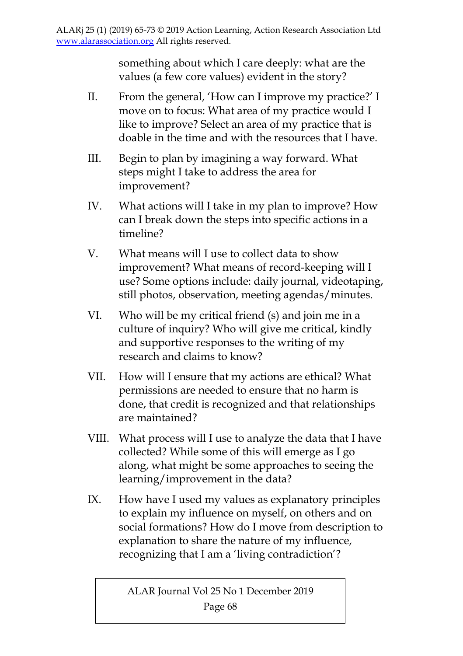something about which I care deeply: what are the values (a few core values) evident in the story?

- II. From the general, 'How can I improve my practice?' I move on to focus: What area of my practice would I like to improve? Select an area of my practice that is doable in the time and with the resources that I have.
- III. Begin to plan by imagining a way forward. What steps might I take to address the area for improvement?
- IV. What actions will I take in my plan to improve? How can I break down the steps into specific actions in a timeline?
- V. What means will I use to collect data to show improvement? What means of record-keeping will I use? Some options include: daily journal, videotaping, still photos, observation, meeting agendas/minutes.
- VI. Who will be my critical friend (s) and join me in a culture of inquiry? Who will give me critical, kindly and supportive responses to the writing of my research and claims to know?
- VII. How will I ensure that my actions are ethical? What permissions are needed to ensure that no harm is done, that credit is recognized and that relationships are maintained?
- VIII. What process will I use to analyze the data that I have collected? While some of this will emerge as I go along, what might be some approaches to seeing the learning/improvement in the data?
- IX. How have I used my values as explanatory principles to explain my influence on myself, on others and on social formations? How do I move from description to explanation to share the nature of my influence, recognizing that I am a 'living contradiction'?

ALAR Journal Vol 25 No 1 December 2019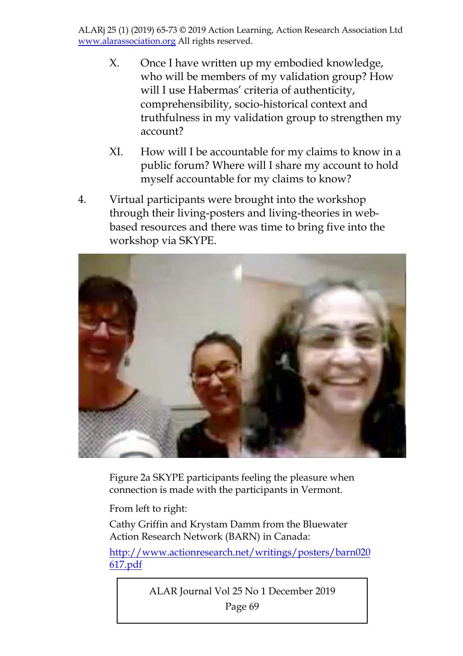- X. Once I have written up my embodied knowledge, who will be members of my validation group? How will I use Habermas' criteria of authenticity, comprehensibility, socio-historical context and truthfulness in my validation group to strengthen my account?
- XI. How will I be accountable for my claims to know in a public forum? Where will I share my account to hold myself accountable for my claims to know?
- 4. Virtual participants were brought into the workshop through their living-posters and living-theories in webbased resources and there was time to bring five into the workshop via SKYPE.



Figure 2a SKYPE participants feeling the pleasure when connection is made with the participants in Vermont.

From left to right:

Cathy Griffin and Krystam Damm from the Bluewater Action Research Network (BARN) in Canada:

http://www.actionresearch.net/writings/posters/barn020 617.pdf

ALAR Journal Vol 25 No 1 December 2019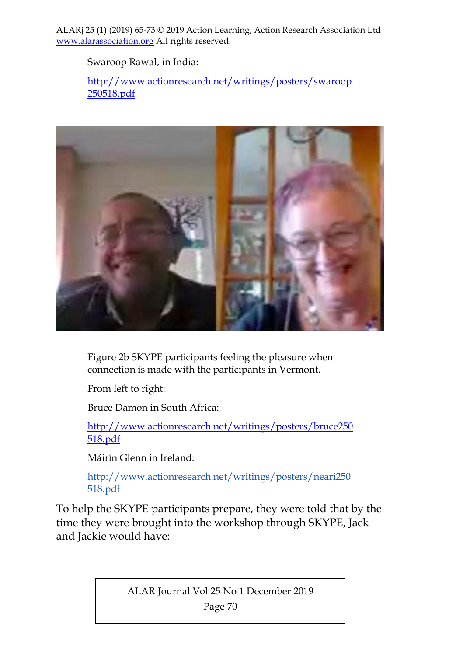Swaroop Rawal, in India:

http://www.actionresearch.net/writings/posters/swaroop 250518.pdf



Figure 2b SKYPE participants feeling the pleasure when connection is made with the participants in Vermont.

From left to right:

Bruce Damon in South Africa:

http://www.actionresearch.net/writings/posters/bruce250 518.pdf

Máirín Glenn in Ireland:

http://www.actionresearch.net/writings/posters/neari250 518.pdf

To help the SKYPE participants prepare, they were told that by the time they were brought into the workshop through SKYPE, Jack and Jackie would have:

ALAR Journal Vol 25 No 1 December 2019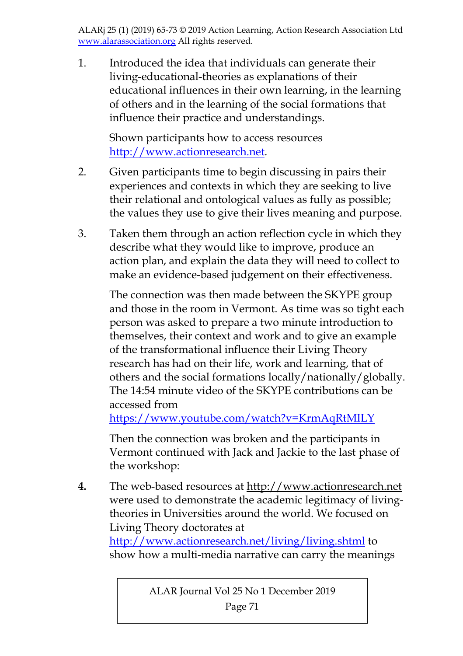1. Introduced the idea that individuals can generate their living-educational-theories as explanations of their educational influences in their own learning, in the learning of others and in the learning of the social formations that influence their practice and understandings.

Shown participants how to access resources http://www.actionresearch.net.

- 2. Given participants time to begin discussing in pairs their experiences and contexts in which they are seeking to live their relational and ontological values as fully as possible; the values they use to give their lives meaning and purpose.
- 3. Taken them through an action reflection cycle in which they describe what they would like to improve, produce an action plan, and explain the data they will need to collect to make an evidence-based judgement on their effectiveness.

The connection was then made between the SKYPE group and those in the room in Vermont. As time was so tight each person was asked to prepare a two minute introduction to themselves, their context and work and to give an example of the transformational influence their Living Theory research has had on their life, work and learning, that of others and the social formations locally/nationally/globally. The 14:54 minute video of the SKYPE contributions can be accessed from

https://www.youtube.com/watch?v=KrmAqRtMILY

Then the connection was broken and the participants in Vermont continued with Jack and Jackie to the last phase of the workshop:

**4.** The web-based resources at http://www.actionresearch.net were used to demonstrate the academic legitimacy of livingtheories in Universities around the world. We focused on Living Theory doctorates at

http://www.actionresearch.net/living/living.shtml to show how a multi-media narrative can carry the meanings

ALAR Journal Vol 25 No 1 December 2019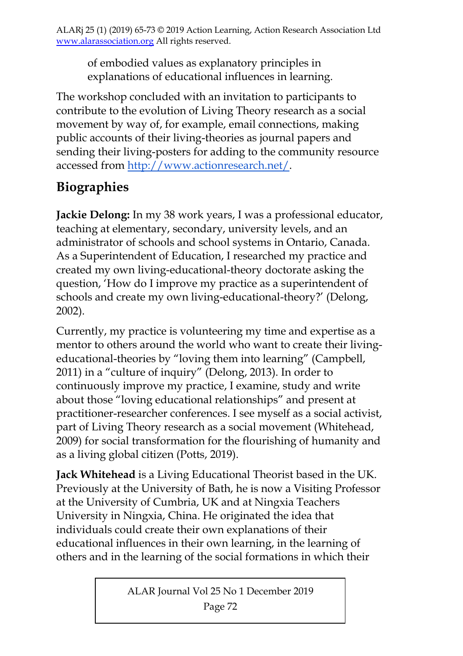of embodied values as explanatory principles in explanations of educational influences in learning.

The workshop concluded with an invitation to participants to contribute to the evolution of Living Theory research as a social movement by way of, for example, email connections, making public accounts of their living-theories as journal papers and sending their living-posters for adding to the community resource accessed from http://www.actionresearch.net/.

## **Biographies**

**Jackie Delong:** In my 38 work years, I was a professional educator, teaching at elementary, secondary, university levels, and an administrator of schools and school systems in Ontario, Canada. As a Superintendent of Education, I researched my practice and created my own living-educational-theory doctorate asking the question, 'How do I improve my practice as a superintendent of schools and create my own living-educational-theory?' (Delong, 2002).

Currently, my practice is volunteering my time and expertise as a mentor to others around the world who want to create their livingeducational-theories by "loving them into learning" (Campbell, 2011) in a "culture of inquiry" (Delong, 2013). In order to continuously improve my practice, I examine, study and write about those "loving educational relationships" and present at practitioner-researcher conferences. I see myself as a social activist, part of Living Theory research as a social movement (Whitehead, 2009) for social transformation for the flourishing of humanity and as a living global citizen (Potts, 2019).

**Jack Whitehead** is a Living Educational Theorist based in the UK. Previously at the University of Bath, he is now a Visiting Professor at the University of Cumbria, UK and at Ningxia Teachers University in Ningxia, China. He originated the idea that individuals could create their own explanations of their educational influences in their own learning, in the learning of others and in the learning of the social formations in which their

ALAR Journal Vol 25 No 1 December 2019